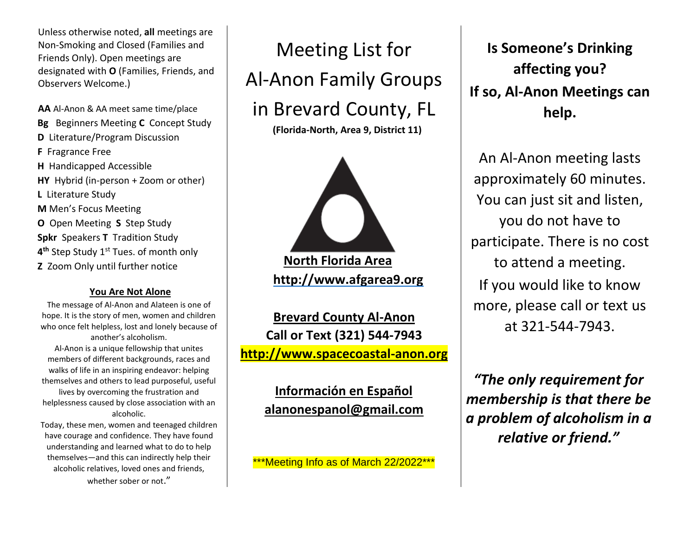Unless otherwise noted, **all** meetings are Non-Smoking and Closed (Families and Friends Only). Open meetings are designated with **O** (Families, Friends, and Observers Welcome.)

**AA** Al-Anon & AA meet same time/place **Bg** Beginners Meeting **C** Concept Study **D** Literature/Program Discussion **F** Fragrance Free **H** Handicapped Accessible **HY** Hybrid (in-person + Zoom or other) **L** Literature Study **M** Men's Focus Meeting **O** Open Meeting **S** Step Study **Spkr** Speakers **T** Tradition Study **4 th** Step Study 1st Tues. of month only **Z** Zoom Only until further notice

## **You Are Not Alone**

The message of Al-Anon and Alateen is one of hope. It is the story of men, women and children who once felt helpless, lost and lonely because of another's alcoholism. Al-Anon is a unique fellowship that unites members of different backgrounds, races and walks of life in an inspiring endeavor: helping themselves and others to lead purposeful, useful lives by overcoming the frustration and helplessness caused by close association with an alcoholic.

Today, these men, women and teenaged children have courage and confidence. They have found understanding and learned what to do to help themselves—and this can indirectly help their alcoholic relatives, loved ones and friends, whether sober or not."



**(Florida-North, Area 9, District 11)**



**North Florida Area [http://www.afgarea9.org](http://www.afgarea9.org/)**

**Brevard County Al-Anon Call or Text (321) 544-7943 [http://www.spacecoastal-anon.org](http://www.spacecoastal-anon.org/)**

> **Información en Español [alanonespanol@gmail.com](mailto:alanonespanol@gmail.com)**

\*\*\*Meeting Info as of March 22/2022\*\*\*

**Is Someone's Drinking affecting you? If so, Al-Anon Meetings can help.**

An Al-Anon meeting lasts approximately 60 minutes. You can just sit and listen, you do not have to participate. There is no cost to attend a meeting. If you would like to know more, please call or text us at 321-544-7943.

*"The only requirement for membership is that there be a problem of alcoholism in a relative or friend."*